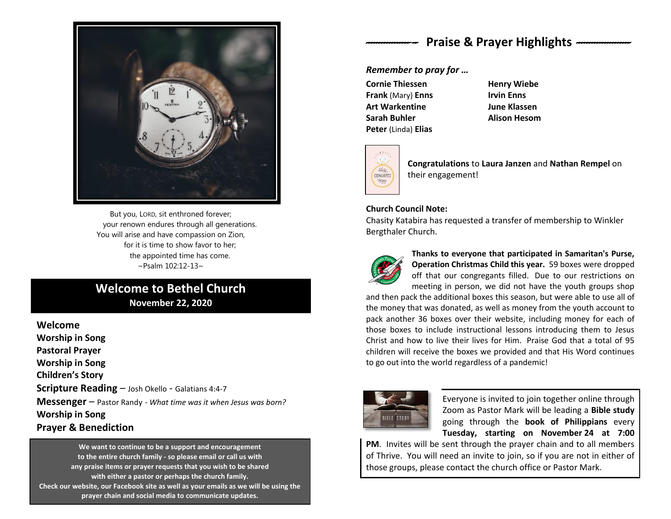

But you, LORD, sit enthroned forever; your renown endures through all generations. You will arise and have compassion on Zion, for it is time to show favor to her; the appointed time has come. ~Psalm 102:12-13~

## **Welcome to Bethel Church November 22, 2020**

**Welcome**

**Worship in Song Pastoral Prayer** 

**Worship in Song**

**Children's Story**

**Scripture Reading** – Josh Okello - Galatians 4:4-7

**Messenger** – Pastor Randy - *What time was it when Jesus was born?* **Worship in Song**

## **Prayer & Benediction**

**Check our website, our Facebook site as well as your emails as we will be using the**<br>Check our website, our Facebook site as well as your emails as we will be using the **We want to continue to be a support and encouragement to the entire church family - so please email or call us with any praise items or prayer requests that you wish to be shared with either a pastor or perhaps the church family. prayer chain and social media to communicate updates.**

# *--------------------* **Praise & Prayer Highlights** *---------------------*

*Remember to pray for …*

**Cornie Thiessen <b>Henry Wiebe Frank** (Mary) **Enns Irvin Enns Art Warkentine June Klassen Sarah Buhler Alison Hesom Peter** (Linda) **Elias**



**Congratulations** to **Laura Janzen** and **Nathan Rempel** on their engagement!

### **Church Council Note:**

Chasity Katabira has requested a transfer of membership to Winkler Bergthaler Church.



**Thanks to everyone that participated in Samaritan's Purse, Operation Christmas Child this year.** 59 boxes were dropped off that our congregants filled. Due to our restrictions on meeting in person, we did not have the youth groups shop

and then pack the additional boxes this season, but were able to use all of the money that was donated, as well as money from the youth account to pack another 36 boxes over their website, including money for each of those boxes to include instructional lessons introducing them to Jesus Christ and how to live their lives for Him. Praise God that a total of 95 children will receive the boxes we provided and that His Word continues to go out into the world regardless of a pandemic!



Everyone is invited to join together online through Zoom as Pastor Mark will be leading a **Bible study** going through the **book of Philippians** every **Tuesday, starting on November 24 at 7:00** 

**PM**. Invites will be sent through the prayer chain and to all members of Thrive. You will need an invite to join, so if you are not in either of those groups, please contact the church office or Pastor Mark.